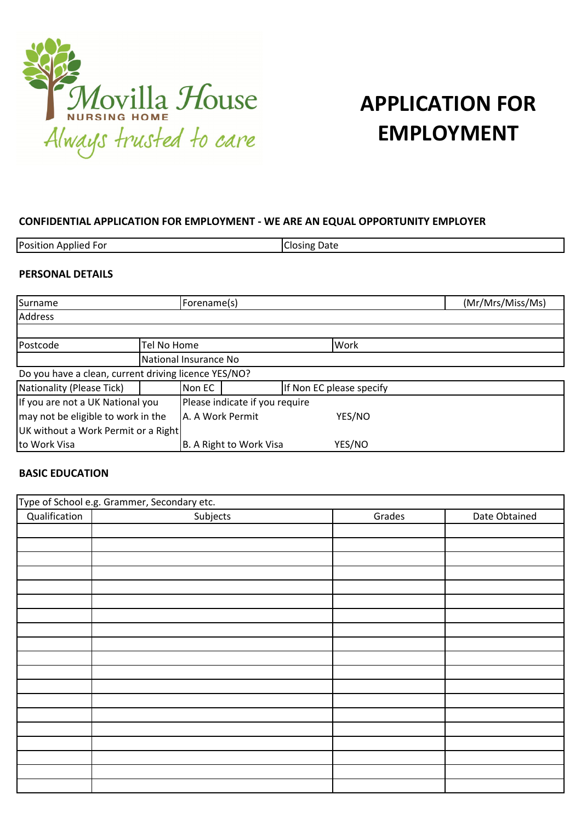

# **APPLICATION FOR EMPLOYMENT**

#### **CONFIDENTIAL APPLICATION FOR EMPLOYMENT - WE ARE AN EQUAL OPPORTUNITY EMPLOYER**

| Position,<br>. Applied For | Date<br>Josing. |
|----------------------------|-----------------|
|                            |                 |

#### **PERSONAL DETAILS**

| Surname                                              |             | Forename(s)                    |  |                          | (Mr/Mrs/Miss/Ms) |  |
|------------------------------------------------------|-------------|--------------------------------|--|--------------------------|------------------|--|
| <b>Address</b>                                       |             |                                |  |                          |                  |  |
|                                                      |             |                                |  |                          |                  |  |
| Postcode                                             | Tel No Home |                                |  | Work                     |                  |  |
|                                                      |             | National Insurance No          |  |                          |                  |  |
| Do you have a clean, current driving licence YES/NO? |             |                                |  |                          |                  |  |
| Nationality (Please Tick)                            |             | Non EC                         |  | If Non EC please specify |                  |  |
| If you are not a UK National you                     |             | Please indicate if you require |  |                          |                  |  |
| may not be eligible to work in the                   |             | A. A Work Permit<br>YES/NO     |  |                          |                  |  |
| UK without a Work Permit or a Right                  |             |                                |  |                          |                  |  |
| to Work Visa                                         |             | B. A Right to Work Visa        |  | YES/NO                   |                  |  |

#### **BASIC EDUCATION**

|               | Type of School e.g. Grammer, Secondary etc. |        |               |
|---------------|---------------------------------------------|--------|---------------|
| Qualification | Subjects                                    | Grades | Date Obtained |
|               |                                             |        |               |
|               |                                             |        |               |
|               |                                             |        |               |
|               |                                             |        |               |
|               |                                             |        |               |
|               |                                             |        |               |
|               |                                             |        |               |
|               |                                             |        |               |
|               |                                             |        |               |
|               |                                             |        |               |
|               |                                             |        |               |
|               |                                             |        |               |
|               |                                             |        |               |
|               |                                             |        |               |
|               |                                             |        |               |
|               |                                             |        |               |
|               |                                             |        |               |
|               |                                             |        |               |
|               |                                             |        |               |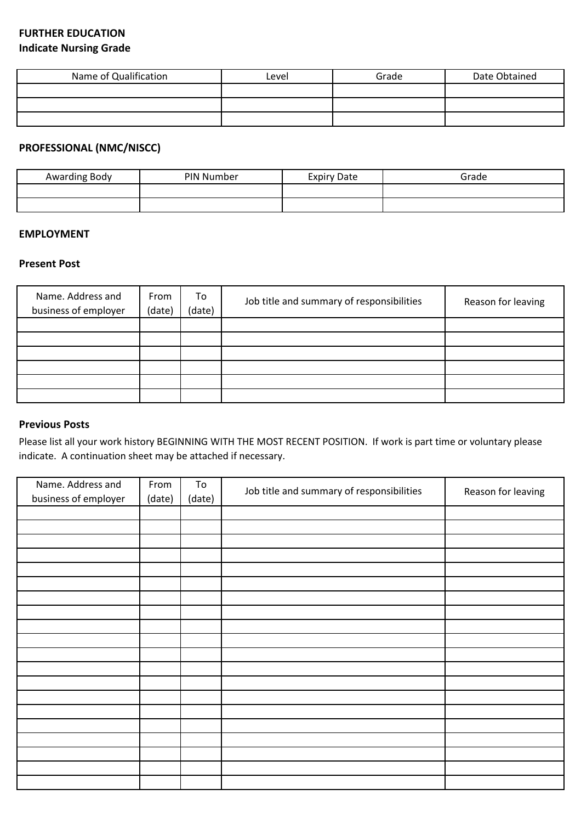### **FURTHER EDUCATION Indicate Nursing Grade**

| Name of Qualification | Level | Grade | Date Obtained |
|-----------------------|-------|-------|---------------|
|                       |       |       |               |
|                       |       |       |               |
|                       |       |       |               |

# **PROFESSIONAL (NMC/NISCC)**

| Awarding Body | PIN Number | <b>Expiry Date</b> | Grade |
|---------------|------------|--------------------|-------|
|               |            |                    |       |
|               |            |                    |       |

#### **EMPLOYMENT**

#### **Present Post**

| Name. Address and<br>business of employer | From<br>(date) | To<br>(date) | Job title and summary of responsibilities | Reason for leaving |
|-------------------------------------------|----------------|--------------|-------------------------------------------|--------------------|
|                                           |                |              |                                           |                    |
|                                           |                |              |                                           |                    |
|                                           |                |              |                                           |                    |
|                                           |                |              |                                           |                    |
|                                           |                |              |                                           |                    |
|                                           |                |              |                                           |                    |

#### **Previous Posts**

Please list all your work history BEGINNING WITH THE MOST RECENT POSITION. If work is part time or voluntary please indicate. A continuation sheet may be attached if necessary.

| Name. Address and    | From   | To     | Job title and summary of responsibilities | Reason for leaving |
|----------------------|--------|--------|-------------------------------------------|--------------------|
| business of employer | (date) | (date) |                                           |                    |
|                      |        |        |                                           |                    |
|                      |        |        |                                           |                    |
|                      |        |        |                                           |                    |
|                      |        |        |                                           |                    |
|                      |        |        |                                           |                    |
|                      |        |        |                                           |                    |
|                      |        |        |                                           |                    |
|                      |        |        |                                           |                    |
|                      |        |        |                                           |                    |
|                      |        |        |                                           |                    |
|                      |        |        |                                           |                    |
|                      |        |        |                                           |                    |
|                      |        |        |                                           |                    |
|                      |        |        |                                           |                    |
|                      |        |        |                                           |                    |
|                      |        |        |                                           |                    |
|                      |        |        |                                           |                    |
|                      |        |        |                                           |                    |
|                      |        |        |                                           |                    |
|                      |        |        |                                           |                    |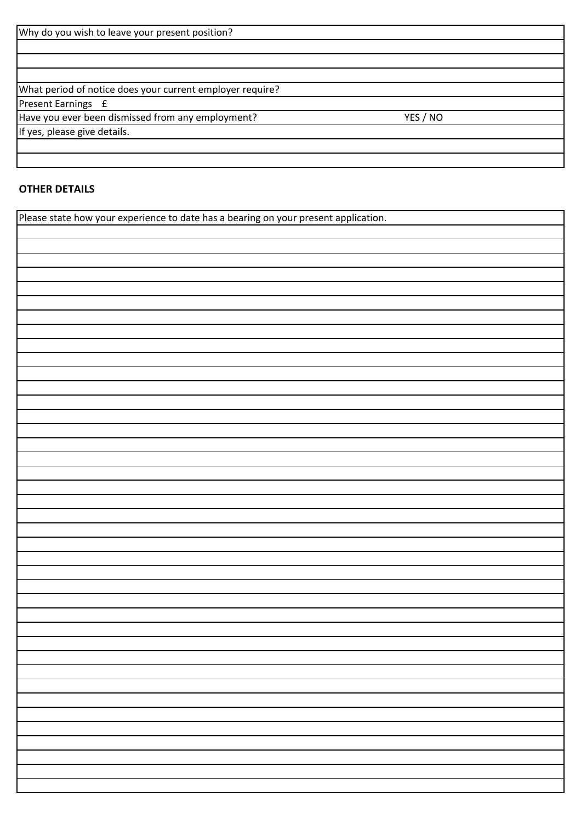| Why do you wish to leave your present position?           |          |  |
|-----------------------------------------------------------|----------|--|
|                                                           |          |  |
|                                                           |          |  |
|                                                           |          |  |
| What period of notice does your current employer require? |          |  |
| Present Earnings £                                        |          |  |
| Have you ever been dismissed from any employment?         | YES / NO |  |
| If yes, please give details.                              |          |  |
|                                                           |          |  |

## **OTHER DETAILS**

Please state how your experience to date has a bearing on your present application.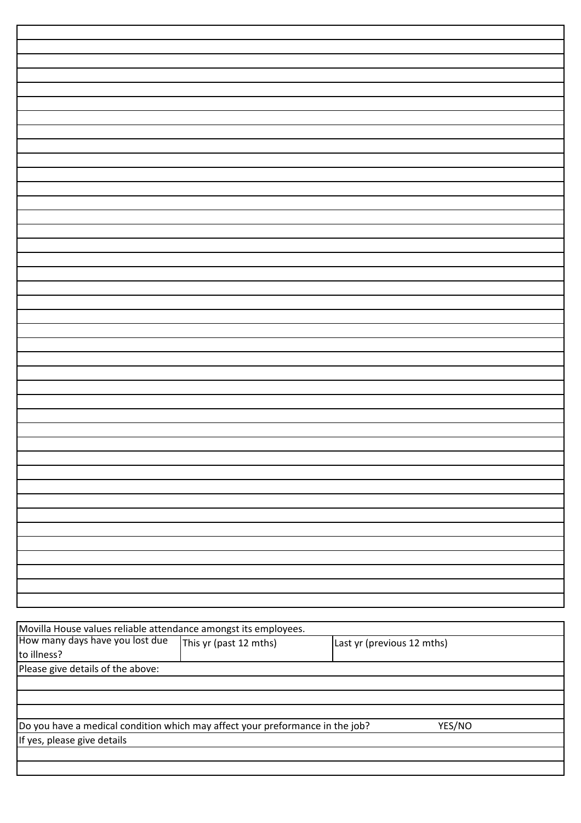| Movilla House values reliable attendance amongst its employees.               |                        |                            |
|-------------------------------------------------------------------------------|------------------------|----------------------------|
| How many days have you lost due                                               | This yr (past 12 mths) | Last yr (previous 12 mths) |
| to illness?                                                                   |                        |                            |
| Please give details of the above:                                             |                        |                            |
|                                                                               |                        |                            |
|                                                                               |                        |                            |
|                                                                               |                        |                            |
| Do you have a medical condition which may affect your preformance in the job? |                        | YES/NO                     |
| If yes, please give details                                                   |                        |                            |
|                                                                               |                        |                            |
|                                                                               |                        |                            |